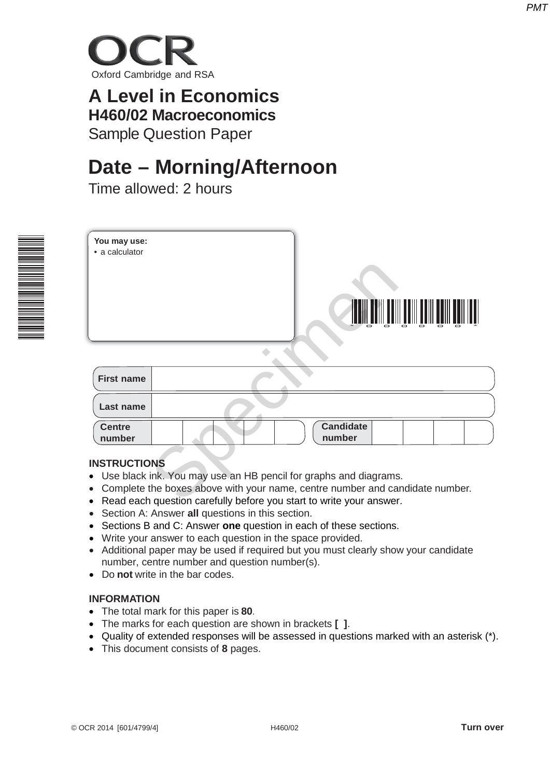

## **A Level in Economics H460/02 Macroeconomics** Sample Question Paper

# **Date – Morning/Afternoon**

Time allowed: 2 hours



| <b>First name</b>       |                            |  |  |  |  |  |
|-------------------------|----------------------------|--|--|--|--|--|
| Last name               |                            |  |  |  |  |  |
| <b>Centre</b><br>number | <b>Candidate</b><br>number |  |  |  |  |  |

## **INSTRUCTIONS**

- Use black ink. You may use an HB pencil for graphs and diagrams.
- Complete the boxes above with your name, centre number and candidate number.
- Read each question carefully before you start to write your answer.
- Section A: Answer **all** questions in this section.
- Sections B and C: Answer **one** question in each of these sections.
- Write your answer to each question in the space provided.
- Additional paper may be used if required but you must clearly show your candidate number, centre number and question number(s).
- Do **not** write in the bar codes.

## **INFORMATION**

- The total mark for this paper is **80**.
- The marks for each question are shown in brackets **[ ]**.
- Quality of extended responses will be assessed in questions marked with an asterisk (\*).
- This document consists of **8** pages.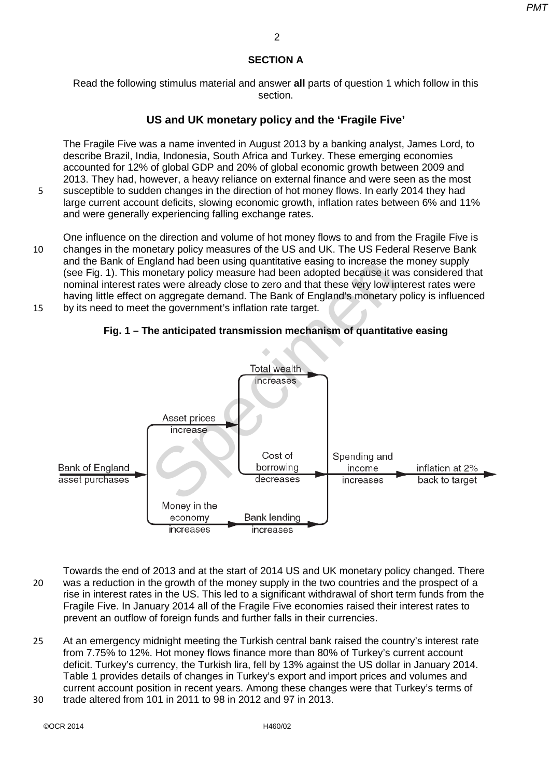## **SECTION A**

Read the following stimulus material and answer **all** parts of question 1 which follow in this section.

## **US and UK monetary policy and the 'Fragile Five'**

The Fragile Five was a name invented in August 2013 by a banking analyst, James Lord, to describe Brazil, India, Indonesia, South Africa and Turkey. These emerging economies accounted for 12% of global GDP and 20% of global economic growth between 2009 and 2013. They had, however, a heavy reliance on external finance and were seen as the most

5 susceptible to sudden changes in the direction of hot money flows. In early 2014 they had large current account deficits, slowing economic growth, inflation rates between 6% and 11% and were generally experiencing falling exchange rates.

One influence on the direction and volume of hot money flows to and from the Fragile Five is 10 changes in the monetary policy measures of the US and UK. The US Federal Reserve Bank and the Bank of England had been using quantitative easing to increase the money supply (see Fig. 1). This monetary policy measure had been adopted because it was considered that nominal interest rates were already close to zero and that these very low interest rates were having little effect on aggregate demand. The Bank of England's monetary policy is influenced 15 by its need to meet the government's inflation rate target.





Towards the end of 2013 and at the start of 2014 US and UK monetary policy changed. There 20 was a reduction in the growth of the money supply in the two countries and the prospect of a rise in interest rates in the US. This led to a significant withdrawal of short term funds from the Fragile Five. In January 2014 all of the Fragile Five economies raised their interest rates to prevent an outflow of foreign funds and further falls in their currencies.

25 At an emergency midnight meeting the Turkish central bank raised the country's interest rate from 7.75% to 12%. Hot money flows finance more than 80% of Turkey's current account deficit. Turkey's currency, the Turkish lira, fell by 13% against the US dollar in January 2014. Table 1 provides details of changes in Turkey's export and import prices and volumes and current account position in recent years. Among these changes were that Turkey's terms of 30 trade altered from 101 in 2011 to 98 in 2012 and 97 in 2013.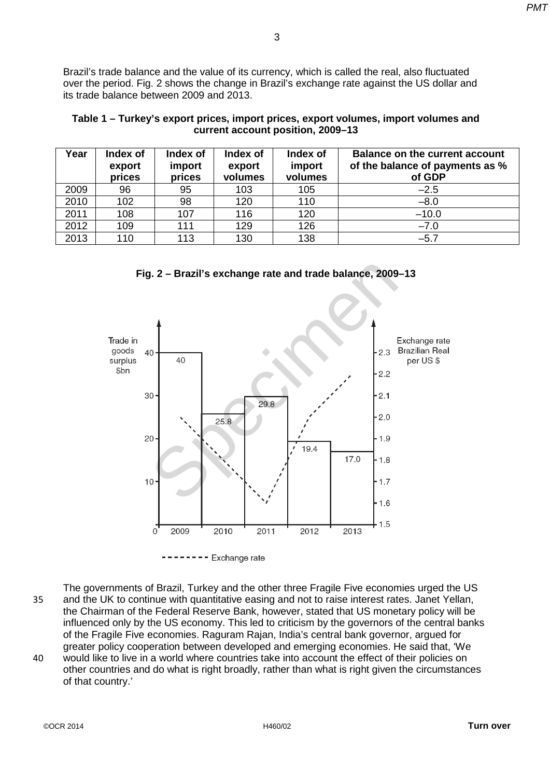Brazil's trade balance and the value of its currency, which is called the real, also fluctuated over the period. Fig. 2 shows the change in Brazil's exchange rate against the US dollar and its trade balance between 2009 and 2013.

| Table 1 – Turkey's export prices, import prices, export volumes, import volumes and |
|-------------------------------------------------------------------------------------|
| current account position, 2009–13                                                   |

| Year | Index of<br>export<br>prices | Index of<br>import<br>prices | Index of<br>export<br>volumes | Index of<br>import<br>volumes | <b>Balance on the current account</b><br>of the balance of payments as %<br>of GDP |
|------|------------------------------|------------------------------|-------------------------------|-------------------------------|------------------------------------------------------------------------------------|
| 2009 | 96                           | 95                           | 103                           | 105                           | $-2.5$                                                                             |
| 2010 | 102                          | 98                           | 120                           | 110                           | $-8.0$                                                                             |
| 2011 | 108                          | 107                          | 116                           | 120                           | $-10.0$                                                                            |
| 2012 | 109                          | 111                          | 129                           | 126                           | $-7.0$                                                                             |
| 2013 | 110                          | 113                          | 130                           | 138                           | $-5.7$                                                                             |





-------- Exchange rate

The governments of Brazil, Turkey and the other three Fragile Five economies urged the US 35 and the UK to continue with quantitative easing and not to raise interest rates. Janet Yellan, the Chairman of the Federal Reserve Bank, however, stated that US monetary policy will be influenced only by the US economy. This led to criticism by the governors of the central banks of the Fragile Five economies. Raguram Rajan, India's central bank governor, argued for greater policy cooperation between developed and emerging economies. He said that, 'We

40 would like to live in a world where countries take into account the effect of their policies on other countries and do what is right broadly, rather than what is right given the circumstances of that country.'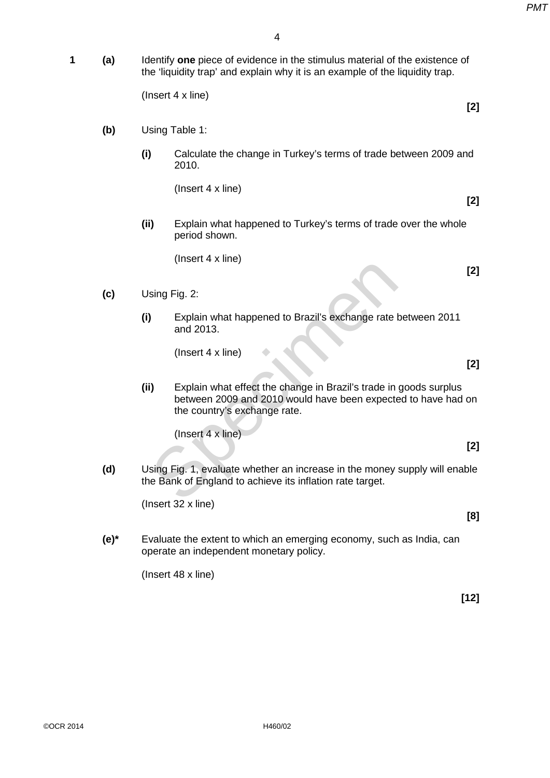**1 (a)** Identify **one** piece of evidence in the stimulus material of the existence of the 'liquidity trap' and explain why it is an example of the liquidity trap.

(Insert 4 x line)

- **(b)** Using Table 1:
	- **(i)** Calculate the change in Turkey's terms of trade between 2009 and 2010.

(Insert 4 x line)

**(ii)** Explain what happened to Turkey's terms of trade over the whole period shown.

(Insert 4 x line)

- **(c)** Using Fig. 2:
	- **(i)** Explain what happened to Brazil's exchange rate between 2011 and 2013.

(Insert 4 x line)

**(ii)** Explain what effect the change in Brazil's trade in goods surplus between 2009 and 2010 would have been expected to have had on the country's exchange rate. Sing Fig. 2:<br>
Sing Fig. 2:<br>
Sing Fig. 2:<br>
Sing Alan what happened to Brazil's exchange rate if<br>
and 2013.<br>
(Insert 4 x line)<br>
(Insert 4 x line)<br>
Sing Fig. 1, evaluate whether an increase in the money<br>
if a said to achieve

(Insert 4 x line)

**(d)** Using Fig. 1, evaluate whether an increase in the money supply will enable the Bank of England to achieve its inflation rate target.

(Insert 32 x line)

**[8]**

**[2]**

**(e)\*** Evaluate the extent to which an emerging economy, such as India, can operate an independent monetary policy.

(Insert 48 x line)

**[12]**

**[2]**

**[2]**

**[2]**

**[2]**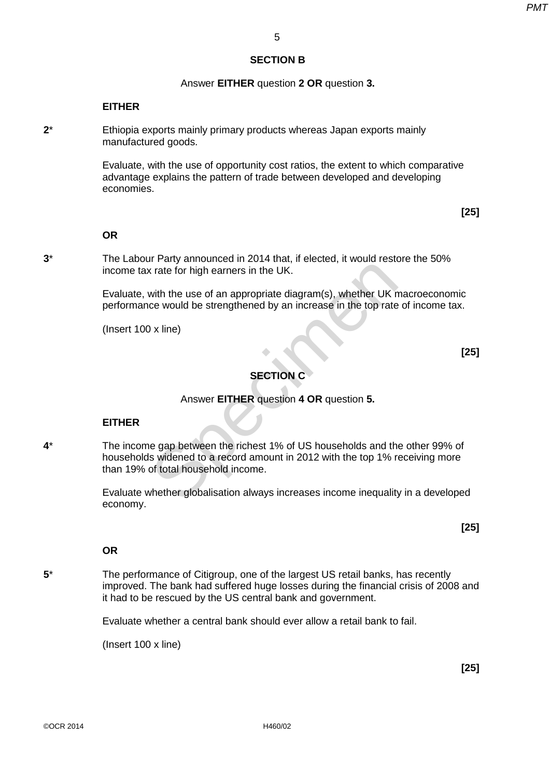## **SECTION B**

Answer **EITHER** question **2 OR** question **3.**

## **EITHER**

**2**\* Ethiopia exports mainly primary products whereas Japan exports mainly manufactured goods.

> Evaluate, with the use of opportunity cost ratios, the extent to which comparative advantage explains the pattern of trade between developed and developing economies.

#### **[25]**

## **OR**

**3**\* The Labour Party announced in 2014 that, if elected, it would restore the 50% income tax rate for high earners in the UK.

> Evaluate, with the use of an appropriate diagram(s), whether UK macroeconomic performance would be strengthened by an increase in the top rate of income tax.

(Insert 100 x line)

**[25]**

### **SECTION C**

#### Answer **EITHER** question **4 OR** question **5.**

#### **EITHER**

**4**\* The income gap between the richest 1% of US households and the other 99% of households widened to a record amount in 2012 with the top 1% receiving more than 19% of total household income. Special and the UK.<br>
Special and the UK.<br>
With the use of an appropriate diagram(s), whether UK notes<br>
(or would be strengthened by an increase in the top rate<br>
(or would be strengthened by an increase in the top rate<br>
(or

Evaluate whether globalisation always increases income inequality in a developed economy.

**[25]**

#### **OR**

**5**\* The performance of Citigroup, one of the largest US retail banks, has recently improved. The bank had suffered huge losses during the financial crisis of 2008 and it had to be rescued by the US central bank and government.

Evaluate whether a central bank should ever allow a retail bank to fail.

(Insert 100 x line)

**[25]**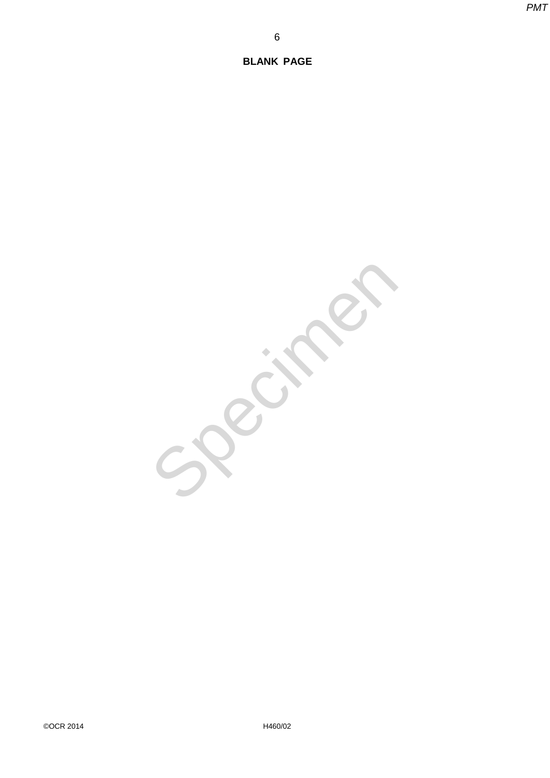## **BLANK PAGE**

6

Specification